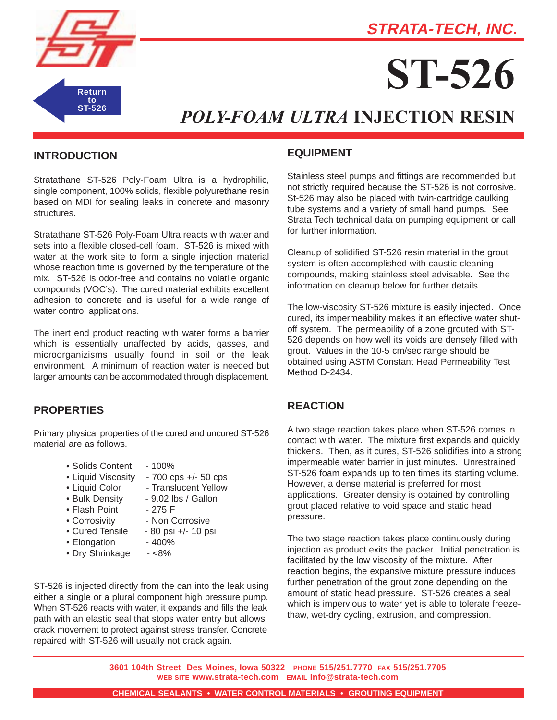**STRATA-TECH, INC.**



# **ST-526**

# *POLY-FOAM ULTRA* **INJECTION RESIN**

#### **INTRODUCTION**

Stratathane ST-526 Poly-Foam Ultra is a hydrophilic, single component, 100% solids, flexible polyurethane resin based on MDI for sealing leaks in concrete and masonry structures.

Stratathane ST-526 Poly-Foam Ultra reacts with water and sets into a flexible closed-cell foam. ST-526 is mixed with water at the work site to form a single injection material whose reaction time is governed by the temperature of the mix. ST-526 is odor-free and contains no volatile organic compounds (VOC's). The cured material exhibits excellent adhesion to concrete and is useful for a wide range of water control applications.

The inert end product reacting with water forms a barrier which is essentially unaffected by acids, gasses, and microorganizisms usually found in soil or the leak environment. A minimum of reaction water is needed but larger amounts can be accommodated through displacement.

#### **PROPERTIES**

Primary physical properties of the cured and uncured ST-526 material are as follows.

- Solids Content 100%
- Liquid Viscosity 700 cps +/- 50 cps
- 
- Liquid Color Translucent Yellow
- Bulk Density 9.02 lbs / Gallon
- Flash Point 275 F
- Corrosivity Non Corrosive
- Cured Tensile 80 psi +/- 10 psi
- Elongation 400%
- Dry Shrinkage <8%
- ST-526 is injected directly from the can into the leak using either a single or a plural component high pressure pump. When ST-526 reacts with water, it expands and fills the leak path with an elastic seal that stops water entry but allows crack movement to protect against stress transfer. Concrete repaired with ST-526 will usually not crack again.

#### **EQUIPMENT**

Stainless steel pumps and fittings are recommended but not strictly required because the ST-526 is not corrosive. St-526 may also be placed with twin-cartridge caulking tube systems and a variety of small hand pumps. See Strata Tech technical data on pumping equipment or call for further information.

Cleanup of solidified ST-526 resin material in the grout system is often accomplished with caustic cleaning compounds, making stainless steel advisable. See the information on cleanup below for further details.

The low-viscosity ST-526 mixture is easily injected. Once cured, its impermeability makes it an effective water shutoff system. The permeability of a zone grouted with ST-526 depends on how well its voids are densely filled with grout. Values in the 10-5 cm/sec range should be obtained using ASTM Constant Head Permeability Test Method D-2434.

### **REACTION**

A two stage reaction takes place when ST-526 comes in contact with water. The mixture first expands and quickly thickens. Then, as it cures, ST-526 solidifies into a strong impermeable water barrier in just minutes. Unrestrained ST-526 foam expands up to ten times its starting volume. However, a dense material is preferred for most applications. Greater density is obtained by controlling grout placed relative to void space and static head pressure.

The two stage reaction takes place continuously during injection as product exits the packer. Initial penetration is facilitated by the low viscosity of the mixture. After reaction begins, the expansive mixture pressure induces further penetration of the grout zone depending on the amount of static head pressure. ST-526 creates a seal which is impervious to water yet is able to tolerate freezethaw, wet-dry cycling, extrusion, and compression.

**3601 104th Street Des Moines, Iowa 50322 PHONE 515/251.7770 FAX 515/251.7705 WEB SITE www.strata-tech.com EMAIL Info@strata-tech.com**